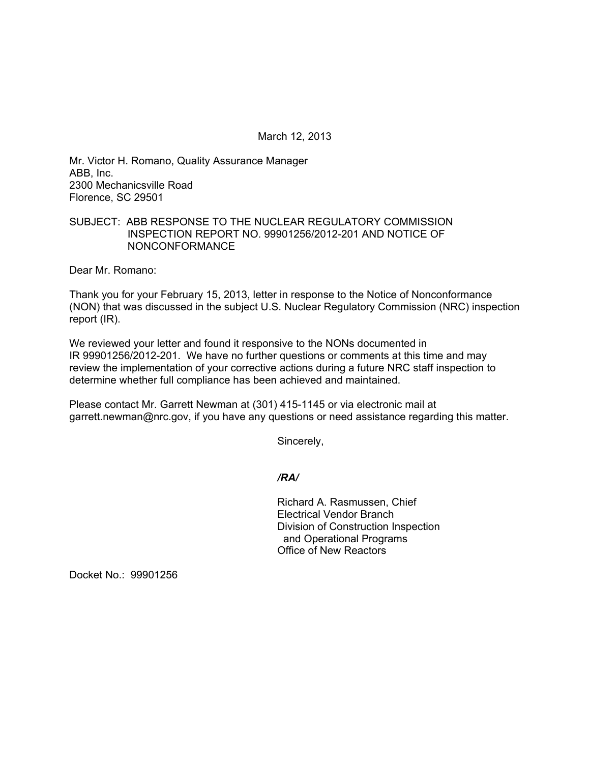March 12, 2013

Mr. Victor H. Romano, Quality Assurance Manager ABB, Inc. 2300 Mechanicsville Road Florence, SC 29501

## SUBJECT: ABB RESPONSE TO THE NUCLEAR REGULATORY COMMISSION INSPECTION REPORT NO. 99901256/2012-201 AND NOTICE OF NONCONFORMANCE

Dear Mr. Romano:

Thank you for your February 15, 2013, letter in response to the Notice of Nonconformance (NON) that was discussed in the subject U.S. Nuclear Regulatory Commission (NRC) inspection report (IR).

We reviewed your letter and found it responsive to the NONs documented in IR 99901256/2012-201. We have no further questions or comments at this time and may review the implementation of your corrective actions during a future NRC staff inspection to determine whether full compliance has been achieved and maintained.

Please contact Mr. Garrett Newman at (301) 415-1145 or via electronic mail at garrett.newman@nrc.gov, if you have any questions or need assistance regarding this matter.

Sincerely,

*/RA/* 

Richard A. Rasmussen, Chief Electrical Vendor Branch Division of Construction Inspection and Operational Programs Office of New Reactors

Docket No.: 99901256